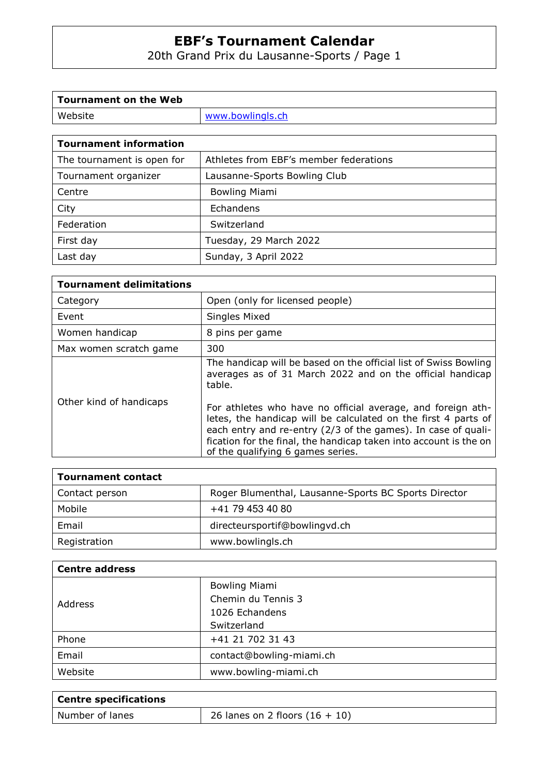20th Grand Prix du Lausanne-Sports / Page 1

| Tournament on the Web  |                  |
|------------------------|------------------|
| Website                | www.bowlingls.ch |
|                        |                  |
| Tournament information |                  |

| TOUTHAINENL MIOLINALION    |                                        |
|----------------------------|----------------------------------------|
| The tournament is open for | Athletes from EBF's member federations |
| Tournament organizer       | Lausanne-Sports Bowling Club           |
| Centre                     | <b>Bowling Miami</b>                   |
| City                       | Echandens                              |
| Federation                 | Switzerland                            |
| First day                  | Tuesday, 29 March 2022                 |
| Last day                   | Sunday, 3 April 2022                   |

| <b>Tournament delimitations</b> |                                                                                                                                                                                                                                                                                                          |
|---------------------------------|----------------------------------------------------------------------------------------------------------------------------------------------------------------------------------------------------------------------------------------------------------------------------------------------------------|
| Category                        | Open (only for licensed people)                                                                                                                                                                                                                                                                          |
| Event                           | Singles Mixed                                                                                                                                                                                                                                                                                            |
| Women handicap                  | 8 pins per game                                                                                                                                                                                                                                                                                          |
| Max women scratch game          | 300                                                                                                                                                                                                                                                                                                      |
|                                 | The handicap will be based on the official list of Swiss Bowling<br>averages as of 31 March 2022 and on the official handicap<br>table.                                                                                                                                                                  |
| Other kind of handicaps         | For athletes who have no official average, and foreign ath-<br>letes, the handicap will be calculated on the first 4 parts of<br>each entry and re-entry (2/3 of the games). In case of quali-<br>fication for the final, the handicap taken into account is the on<br>of the qualifying 6 games series. |

| <b>Tournament contact</b> |                                                      |
|---------------------------|------------------------------------------------------|
| Contact person            | Roger Blumenthal, Lausanne-Sports BC Sports Director |
| Mobile                    | +41 79 453 40 80                                     |
| Email                     | directeursportif@bowlingvd.ch                        |
| Registration              | www.bowlingls.ch                                     |

| <b>Centre address</b> |                          |  |  |  |
|-----------------------|--------------------------|--|--|--|
|                       | <b>Bowling Miami</b>     |  |  |  |
| Address               | Chemin du Tennis 3       |  |  |  |
|                       | 1026 Echandens           |  |  |  |
|                       | Switzerland              |  |  |  |
| Phone                 | +41 21 702 31 43         |  |  |  |
| Email                 | contact@bowling-miami.ch |  |  |  |
| Website               | www.bowling-miami.ch     |  |  |  |

| Centre specifications |                                  |
|-----------------------|----------------------------------|
| Number of lanes       | 26 lanes on 2 floors $(16 + 10)$ |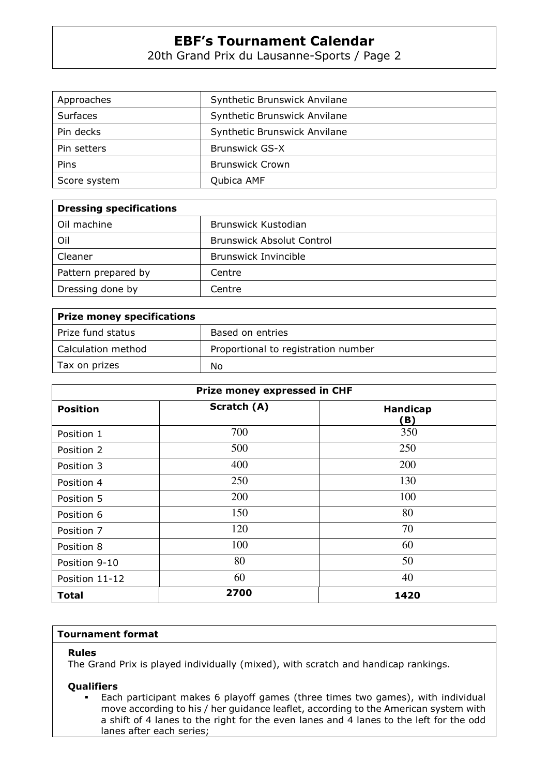20th Grand Prix du Lausanne-Sports / Page 2

| Approaches      | Synthetic Brunswick Anvilane |  |  |  |  |  |  |
|-----------------|------------------------------|--|--|--|--|--|--|
| <b>Surfaces</b> | Synthetic Brunswick Anvilane |  |  |  |  |  |  |
| Pin decks       | Synthetic Brunswick Anvilane |  |  |  |  |  |  |
| Pin setters     | <b>Brunswick GS-X</b>        |  |  |  |  |  |  |
| Pins            | <b>Brunswick Crown</b>       |  |  |  |  |  |  |
| Score system    | Qubica AMF                   |  |  |  |  |  |  |

| <b>Dressing specifications</b> |                                  |  |  |  |  |  |  |  |
|--------------------------------|----------------------------------|--|--|--|--|--|--|--|
| Oil machine                    | Brunswick Kustodian              |  |  |  |  |  |  |  |
| Oil                            | <b>Brunswick Absolut Control</b> |  |  |  |  |  |  |  |
| Cleaner                        | <b>Brunswick Invincible</b>      |  |  |  |  |  |  |  |
| Pattern prepared by            | Centre                           |  |  |  |  |  |  |  |
| Dressing done by               | Centre                           |  |  |  |  |  |  |  |

| <b>Prize money specifications</b> |                                     |
|-----------------------------------|-------------------------------------|
| Prize fund status                 | Based on entries                    |
| Calculation method                | Proportional to registration number |
| Tax on prizes                     | No                                  |

|                 | Prize money expressed in CHF |                        |
|-----------------|------------------------------|------------------------|
| <b>Position</b> | Scratch (A)                  | <b>Handicap</b><br>(B) |
| Position 1      | 700                          | 350                    |
| Position 2      | 500                          | 250                    |
| Position 3      | 400                          | 200                    |
| Position 4      | 250                          | 130                    |
| Position 5      | 200                          | 100                    |
| Position 6      | 150                          | 80                     |
| Position 7      | 120                          | 70                     |
| Position 8      | 100                          | 60                     |
| Position 9-10   | 80                           | 50                     |
| Position 11-12  | 60                           | 40                     |
| Total           | 2700                         | 1420                   |

### **Tournament format**

### **Rules**

The Grand Prix is played individually (mixed), with scratch and handicap rankings.

## **Qualifiers**

 Each participant makes 6 playoff games (three times two games), with individual move according to his / her guidance leaflet, according to the American system with a shift of 4 lanes to the right for the even lanes and 4 lanes to the left for the odd lanes after each series;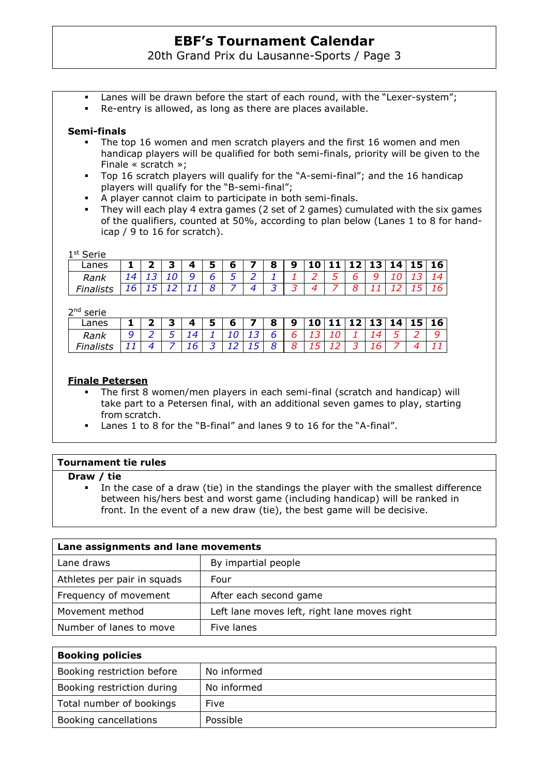20th Grand Prix du Lausanne-Sports / Page 3

- Lanes will be drawn before the start of each round, with the "Lexer-system";
- Re-entry is allowed, as long as there are places available.

# **Semi-finals**

- The top 16 women and men scratch players and the first 16 women and men handicap players will be qualified for both semi-finals, priority will be given to the Finale « scratch »;
- Top 16 scratch players will qualify for the "A-semi-final"; and the 16 handicap players will qualify for the "B-semi-final";
- A player cannot claim to participate in both semi-finals.
- They will each play 4 extra games (2 set of 2 games) cumulated with the six games of the qualifiers, counted at 50%, according to plan below (Lanes 1 to 8 for handicap / 9 to 16 for scratch).

1 st Serie

| 10 11 12 13 14 15 16<br>6<br>8<br>$\boldsymbol{\Lambda}$<br>5<br>9<br>Lanes |  |  |  |  |  |  |  |  |  |
|-----------------------------------------------------------------------------|--|--|--|--|--|--|--|--|--|
|                                                                             |  |  |  |  |  |  |  |  |  |
| Rank                                                                        |  |  |  |  |  |  |  |  |  |
|                                                                             |  |  |  |  |  |  |  |  |  |

2<sup>nd</sup> serie

| 351 I G |   |   |   |   |   |   |  |   |    |    |   |                |
|---------|---|---|---|---|---|---|--|---|----|----|---|----------------|
| Lanes   | - | Δ | 5 | 6 | 8 | 9 |  |   | 13 | 14 |   | $\sqrt{15}$ 16 |
| Rank    | ∽ |   |   |   | h |   |  |   |    |    | ∽ |                |
|         |   | r |   |   |   |   |  | - |    |    |   |                |

## **Finale Petersen**

- The first 8 women/men players in each semi-final (scratch and handicap) will take part to a Petersen final, with an additional seven games to play, starting from scratch.
- Lanes 1 to 8 for the "B-final" and lanes 9 to 16 for the "A-final".

| <b>Tournament tie rules</b>                                                                                                                                                                                                                                   |                     |  |  |  |  |
|---------------------------------------------------------------------------------------------------------------------------------------------------------------------------------------------------------------------------------------------------------------|---------------------|--|--|--|--|
| Draw / tie<br>In the case of a draw (tie) in the standings the player with the smallest difference<br>between his/hers best and worst game (including handicap) will be ranked in<br>front. In the event of a new draw (tie), the best game will be decisive. |                     |  |  |  |  |
| Lane assignments and lane movements                                                                                                                                                                                                                           |                     |  |  |  |  |
| Lane draws                                                                                                                                                                                                                                                    | By impartial people |  |  |  |  |

| Athletes per pair in squads | Four                                         |
|-----------------------------|----------------------------------------------|
| Frequency of movement       | After each second game                       |
| Movement method             | Left lane moves left, right lane moves right |
| Number of lanes to move     | Five lanes                                   |

| <b>Booking policies</b>    |             |  |  |
|----------------------------|-------------|--|--|
| Booking restriction before | No informed |  |  |
| Booking restriction during | No informed |  |  |
| Total number of bookings   | Five        |  |  |
| Booking cancellations      | Possible    |  |  |